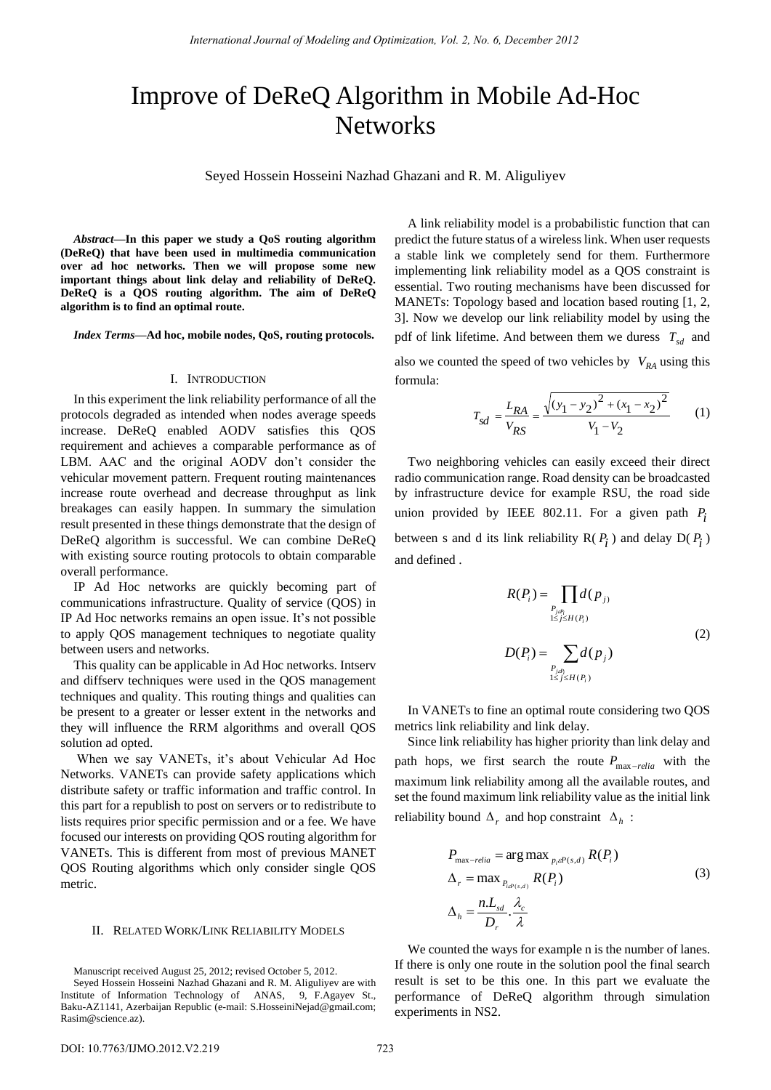# Improve of DeReQ Algorithm in Mobile Ad-Hoc **Networks**

Seyed Hossein Hosseini Nazhad Ghazani and R. M. Aliguliyev

*Abstract***—In this paper we study a QoS routing algorithm (DeReQ) that have been used in multimedia communication over ad hoc networks. Then we will propose some new important things about link delay and reliability of DeReQ. DeReQ is a QOS routing algorithm. The aim of DeReQ algorithm is to find an optimal route.** 

*Index Terms***—Ad hoc, mobile nodes, QoS, routing protocols.** 

#### I. INTRODUCTION

In this experiment the link reliability performance of all the protocols degraded as intended when nodes average speeds increase. DeReQ enabled AODV satisfies this QOS requirement and achieves a comparable performance as of LBM. AAC and the original AODV don't consider the vehicular movement pattern. Frequent routing maintenances increase route overhead and decrease throughput as link breakages can easily happen. In summary the simulation result presented in these things demonstrate that the design of DeReQ algorithm is successful. We can combine DeReQ with existing source routing protocols to obtain comparable overall performance.

IP Ad Hoc networks are quickly becoming part of communications infrastructure. Quality of service (QOS) in IP Ad Hoc networks remains an open issue. It's not possible to apply QOS management techniques to negotiate quality between users and networks.

This quality can be applicable in Ad Hoc networks. Intserv and diffserv techniques were used in the QOS management techniques and quality. This routing things and qualities can be present to a greater or lesser extent in the networks and they will influence the RRM algorithms and overall QOS solution ad opted.

When we say VANETs, it's about Vehicular Ad Hoc Networks. VANETs can provide safety applications which distribute safety or traffic information and traffic control. In this part for a republish to post on servers or to redistribute to lists requires prior specific permission and or a fee. We have focused our interests on providing QOS routing algorithm for VANETs. This is different from most of previous MANET QOS Routing algorithms which only consider single QOS metric.

## II. RELATED WORK/LINK RELIABILITY MODELS

Manuscript received August 25, 2012; revised October 5, 2012.

A link reliability model is a probabilistic function that can predict the future status of a wireless link. When user requests a stable link we completely send for them. Furthermore implementing link reliability model as a QOS constraint is essential. Two routing mechanisms have been discussed for MANETs: Topology based and location based routing [1, 2, 3]. Now we develop our link reliability model by using the pdf of link lifetime. And between them we duress  $T_{sd}$  and also we counted the speed of two vehicles by  $V_{RA}$  using this formula:

$$
T_{sd} = \frac{L_{RA}}{V_{RS}} = \frac{\sqrt{(y_1 - y_2)^2 + (x_1 - x_2)^2}}{V_1 - V_2}
$$
 (1)

Two neighboring vehicles can easily exceed their direct radio communication range. Road density can be broadcasted by infrastructure device for example RSU, the road side union provided by IEEE 802.11. For a given path  $P_i$ between s and d its link reliability  $R(P_i)$  and delay  $D(P_i)$ and defined .

$$
R(P_i) = \prod_{\substack{P_{j\neq i} \\ 1 \leq j \leq H(P_i)}} d(p_{j})
$$
  

$$
D(P_i) = \sum_{\substack{P_{j\neq i} \\ 1 \leq j \leq H(P_i)}} d(p_{j})
$$
 (2)

In VANETs to fine an optimal route considering two QOS metrics link reliability and link delay.

Since link reliability has higher priority than link delay and path hops, we first search the route  $P_{\text{max-relia}}$  with the maximum link reliability among all the available routes, and set the found maximum link reliability value as the initial link reliability bound  $\Delta_r$  and hop constraint  $\Delta_h$ :

$$
P_{\max-relia} = \arg \max_{p_i \in P(s,d)} R(P_i)
$$
  
\n
$$
\Delta_r = \max_{P_{i \in P(s,d)}} R(P_i)
$$
  
\n
$$
\Delta_h = \frac{n.L_{sd}}{D_r} \cdot \frac{\lambda_c}{\lambda}
$$
\n(3)

We counted the ways for example n is the number of lanes. If there is only one route in the solution pool the final search result is set to be this one. In this part we evaluate the performance of DeReQ algorithm through simulation experiments in NS2.

Seyed Hossein Hosseini Nazhad Ghazani and R. M. Aliguliyev are with Institute of Information Technology of ANAS, 9, F.Agayev St., Baku-AZ1141, Azerbaijan Republic (e-mail[: S.HosseiniNejad@gmail.com;](mailto:S.HosseiniNejad@gmail.com) [Rasim@science.az\).](mailto:Rasim@science.az)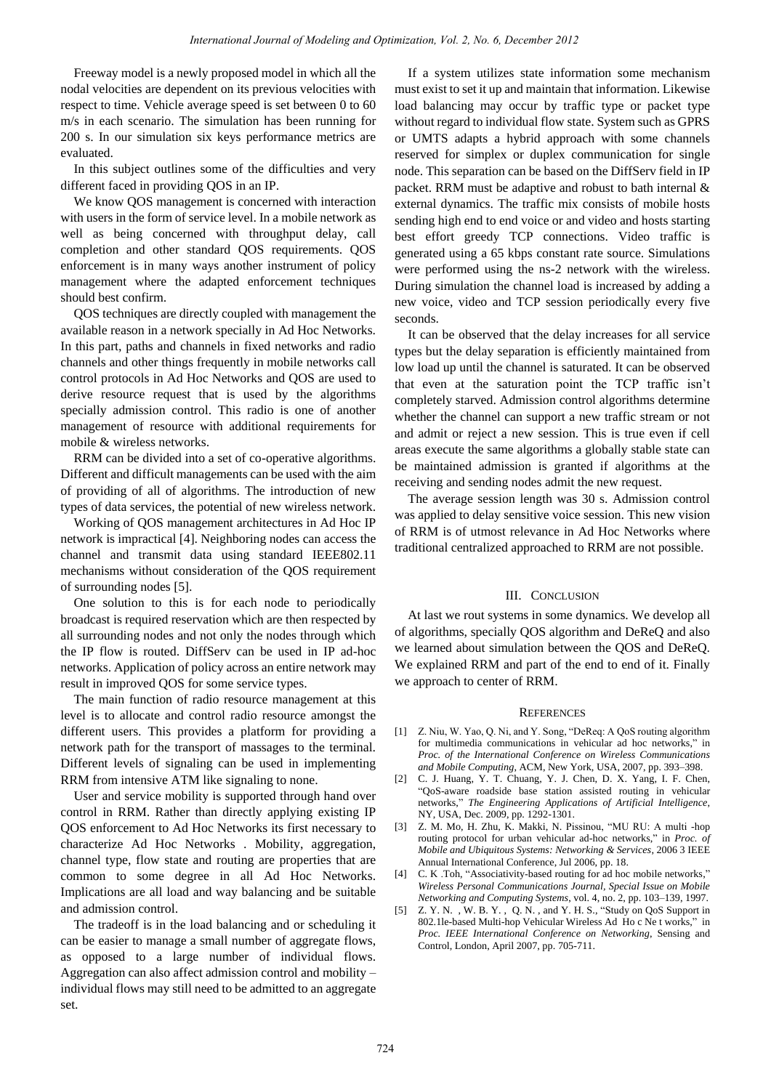Freeway model is a newly proposed model in which all the nodal velocities are dependent on its previous velocities with respect to time. Vehicle average speed is set between 0 to 60 m/s in each scenario. The simulation has been running for 200 s. In our simulation six keys performance metrics are evaluated.

In this subject outlines some of the difficulties and very different faced in providing QOS in an IP.

We know QOS management is concerned with interaction with users in the form of service level. In a mobile network as well as being concerned with throughput delay, call completion and other standard QOS requirements. QOS enforcement is in many ways another instrument of policy management where the adapted enforcement techniques should best confirm.

QOS techniques are directly coupled with management the available reason in a network specially in Ad Hoc Networks. In this part, paths and channels in fixed networks and radio channels and other things frequently in mobile networks call control protocols in Ad Hoc Networks and QOS are used to derive resource request that is used by the algorithms specially admission control. This radio is one of another management of resource with additional requirements for mobile & wireless networks.

RRM can be divided into a set of co-operative algorithms. Different and difficult managements can be used with the aim of providing of all of algorithms. The introduction of new types of data services, the potential of new wireless network.

Working of QOS management architectures in Ad Hoc IP network is impractical [4]. Neighboring nodes can access the channel and transmit data using standard IEEE802.11 mechanisms without consideration of the QOS requirement of surrounding nodes [5].

One solution to this is for each node to periodically broadcast is required reservation which are then respected by all surrounding nodes and not only the nodes through which the IP flow is routed. DiffServ can be used in IP ad-hoc networks. Application of policy across an entire network may result in improved QOS for some service types.

The main function of radio resource management at this level is to allocate and control radio resource amongst the different users. This provides a platform for providing a network path for the transport of massages to the terminal. Different levels of signaling can be used in implementing RRM from intensive ATM like signaling to none.

User and service mobility is supported through hand over control in RRM. Rather than directly applying existing IP QOS enforcement to Ad Hoc Networks its first necessary to characterize Ad Hoc Networks . Mobility, aggregation, channel type, flow state and routing are properties that are common to some degree in all Ad Hoc Networks. Implications are all load and way balancing and be suitable and admission control.

The tradeoff is in the load balancing and or scheduling it can be easier to manage a small number of aggregate flows, as opposed to a large number of individual flows. Aggregation can also affect admission control and mobility – individual flows may still need to be admitted to an aggregate set.

If a system utilizes state information some mechanism must exist to set it up and maintain that information. Likewise load balancing may occur by traffic type or packet type without regard to individual flow state. System such as GPRS or UMTS adapts a hybrid approach with some channels reserved for simplex or duplex communication for single node. This separation can be based on the DiffServ field in IP packet. RRM must be adaptive and robust to bath internal & external dynamics. The traffic mix consists of mobile hosts sending high end to end voice or and video and hosts starting best effort greedy TCP connections. Video traffic is generated using a 65 kbps constant rate source. Simulations were performed using the ns-2 network with the wireless. During simulation the channel load is increased by adding a new voice, video and TCP session periodically every five seconds.

It can be observed that the delay increases for all service types but the delay separation is efficiently maintained from low load up until the channel is saturated. It can be observed that even at the saturation point the TCP traffic isn't completely starved. Admission control algorithms determine whether the channel can support a new traffic stream or not and admit or reject a new session. This is true even if cell areas execute the same algorithms a globally stable state can be maintained admission is granted if algorithms at the receiving and sending nodes admit the new request.

The average session length was 30 s. Admission control was applied to delay sensitive voice session. This new vision of RRM is of utmost relevance in Ad Hoc Networks where traditional centralized approached to RRM are not possible.

### III. CONCLUSION

At last we rout systems in some dynamics. We develop all of algorithms, specially QOS algorithm and DeReQ and also we learned about simulation between the QOS and DeReQ. We explained RRM and part of the end to end of it. Finally we approach to center of RRM.

#### **REFERENCES**

- [1] Z. Niu, W. Yao, Q. Ni, and Y. Song, "DeReq: A QoS routing algorithm for multimedia communications in vehicular ad hoc networks," in *Proc. of the International Conference on Wireless Communications and Mobile Computing*, ACM, New York, USA, 2007, pp. 393–398.
- [2] C. J. Huang, Y. T. Chuang, Y. J. Chen, D. X. Yang, I. F. Chen, "QoS-aware roadside base station assisted routing in vehicular networks," *The Engineering Applications of Artificial Intelligence*, NY, USA, Dec. 2009, pp. 1292-1301.
- [3] Z. M. Mo, H. Zhu, K. Makki, N. Pissinou, "MU RU: A multi -hop routing protocol for urban vehicular ad-hoc networks," in *Proc. of Mobile and Ubiquitous Systems: Networking & Services*, 2006 3 IEEE Annual International Conference, Jul 2006, pp. 18.
- [4] C. K .Toh, "Associativity-based routing for ad hoc mobile networks," *Wireless Personal Communications Journal, Special Issue on Mobile Networking and Computing Systems*, vol. 4, no. 2, pp. 103–139, 1997.
- [5] Z. Y. N. , W. B. Y. , Q. N. , and Y. H. S., "Study on QoS Support in 802.1le-based Multi-hop Vehicular Wireless Ad Ho c Ne t works," in *Proc. IEEE International Conference on Networking*, Sensing and Control, London, April 2007, pp. 705-711.